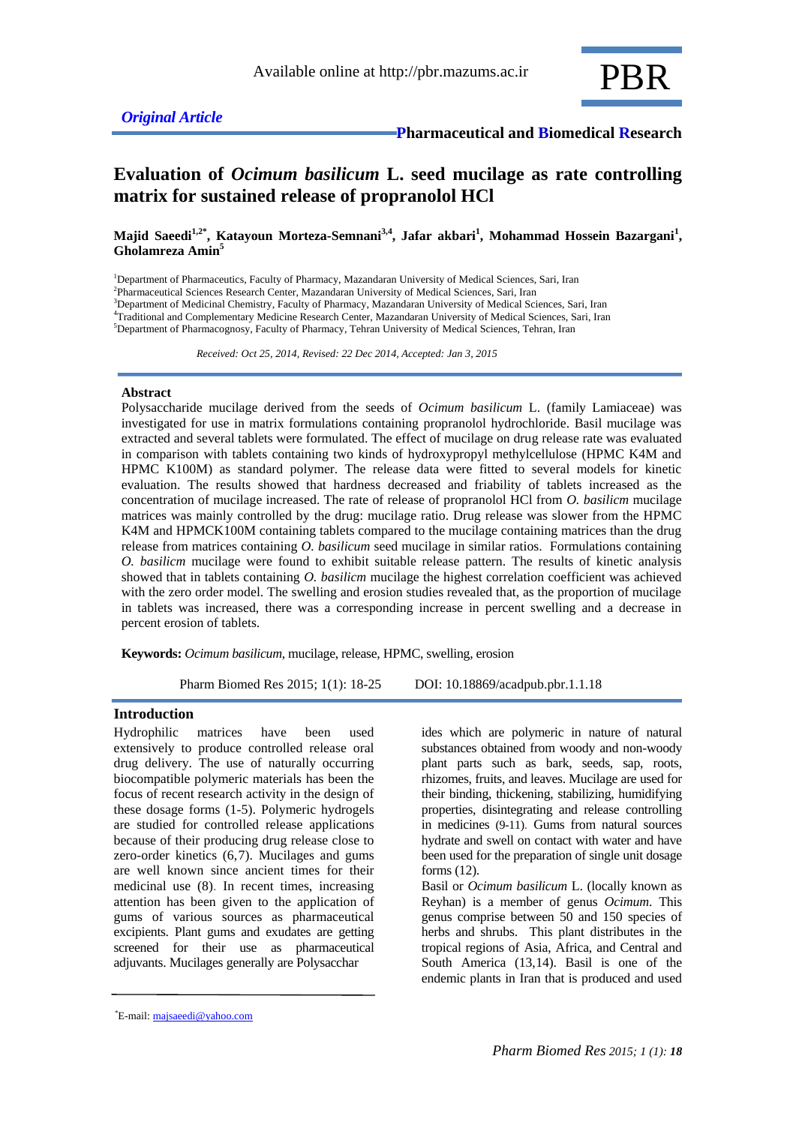

# **Evaluation of** *Ocimum basilicum* **L. seed mucilage as rate controlling matrix for sustained release of propranolol HCl**

Majid Saeedi<sup>1,2\*</sup>, Katayoun Morteza-Semnani<sup>3,4</sup>, Jafar akbari<sup>1</sup>, Mohammad Hossein Bazargani<sup>1</sup>, **Gholamreza Amin<sup>5</sup>**

<sup>1</sup>Department of Pharmaceutics, Faculty of Pharmacy, Mazandaran University of Medical Sciences, Sari, Iran Pharmaceutical Sciences Research Center, Mazandaran University of Medical Sciences, Sari, Iran Department of Medicinal Chemistry, Faculty of Pharmacy, Mazandaran University of Medical Sciences, Sari, Iran Traditional and Complementary Medicine Research Center, Mazandaran University of Medical Sciences, Sari, Iran Department of Pharmacognosy, Faculty of Pharmacy, Tehran University of Medical Sciences, Tehran, Iran

 *Received: Oct 25, 2014, Revised: 22 Dec 2014, Accepted: Jan 3, 2015*

### **Abstract**

Polysaccharide mucilage derived from the seeds of *Ocimum basilicum* L. (family Lamiaceae) was investigated for use in matrix formulations containing propranolol hydrochloride. Basil mucilage was extracted and several tablets were formulated. The effect of mucilage on drug release rate was evaluated in comparison with tablets containing two kinds of hydroxypropyl methylcellulose (HPMC K4M and HPMC K100M) as standard polymer. The release data were fitted to several models for kinetic evaluation. The results showed that hardness decreased and friability of tablets increased as the concentration of mucilage increased. The rate of release of propranolol HCl from *O. basilicm* mucilage matrices was mainly controlled by the drug: mucilage ratio. Drug release was slower from the HPMC K4M and HPMCK100M containing tablets compared to the mucilage containing matrices than the drug release from matrices containing *O. basilicum* seed mucilage in similar ratios. Formulations containing *O. basilicm* mucilage were found to exhibit suitable release pattern. The results of kinetic analysis showed that in tablets containing *O. basilicm* mucilage the highest correlation coefficient was achieved with the zero order model. The swelling and erosion studies revealed that, as the proportion of mucilage in tablets was increased, there was a corresponding increase in percent swelling and a decrease in percent erosion of tablets.

**Keywords:** *Ocimum basilicum*, mucilage, release, HPMC, swelling, erosion

Pharm Biomed Res 2015; 1(1): 18-25 DOI: 10.18869/acadpub.pbr.1.1.18

# **Introduction**

Hydrophilic matrices have been used extensively to produce controlled release oral drug delivery. The use of naturally occurring biocompatible polymeric materials has been the focus of recent research activity in the design of these dosage forms (1-5). Polymeric hydrogels are studied for controlled release applications because of their producing drug release close to zero-order kinetics (6,7). Mucilages and gums are well known since ancient times for their medicinal use (8). In recent times, increasing attention has been given to the application of gums of various sources as pharmaceutical excipients. Plant gums and exudates are getting screened for their use as pharmaceutical adjuvants. Mucilages generally are Polysacchar

ides which are polymeric in nature of natural substances obtained from woody and non-woody plant parts such as bark, seeds, sap, roots, rhizomes, fruits, and leaves. Mucilage are used for their binding, thickening, stabilizing, humidifying properties, disintegrating and release controlling in medicines (9-11). Gums from natural sources hydrate and swell on contact with water and have been used for the preparation of single unit dosage forms (12). Basil or *Ocimum basilicum* L. (locally known as

Reyhan) is a member of genus *Ocimum*. This genus comprise between 50 and 150 species of herbs and shrubs. This plant distributes in the tropical regions of Asia, Africa, and Central and South America (13,14). Basil is one of the endemic plants in Iran that is produced and used

E-mail[: majsaeedi@yahoo.com](mailto:majsaeedi@yahoo.com) \*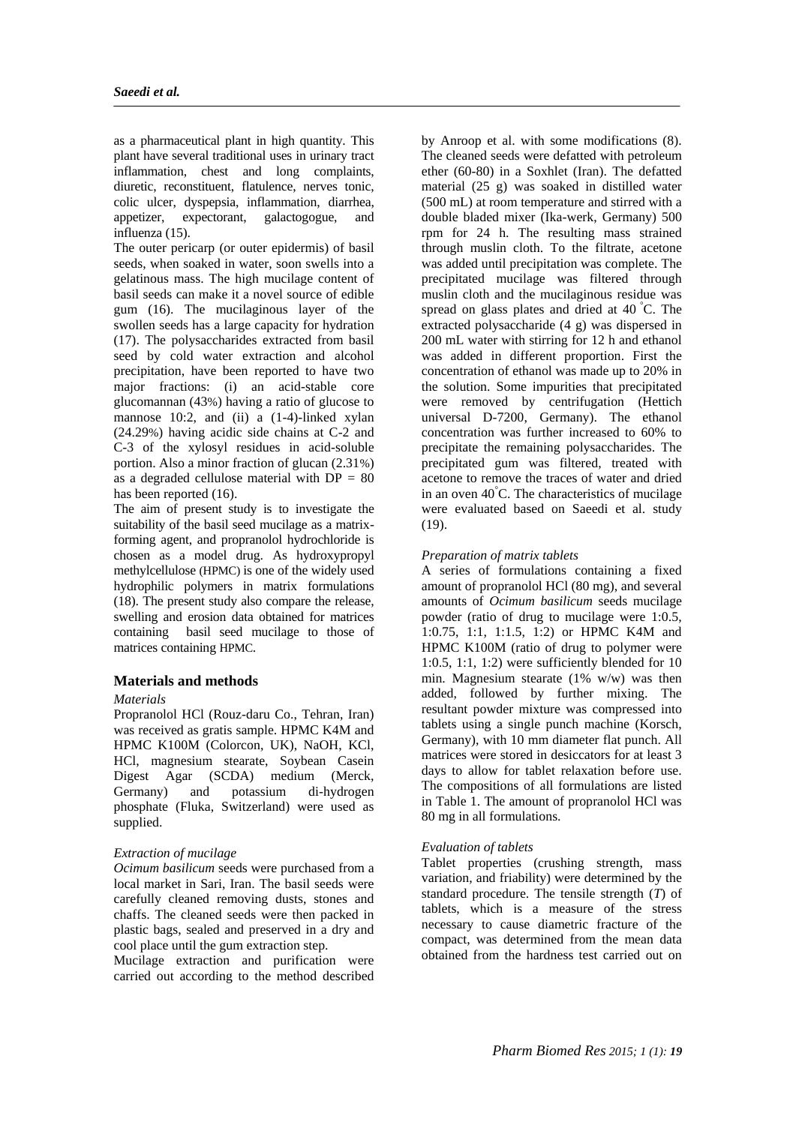as a pharmaceutical plant in high quantity. This plant have several traditional uses in urinary tract inflammation, chest and long complaints, diuretic, reconstituent, flatulence, nerves tonic, colic ulcer, dyspepsia, inflammation, diarrhea, appetizer, expectorant, galactogogue, and influenza (15).

The outer pericarp (or outer epidermis) of basil seeds, when soaked in water, soon swells into a gelatinous mass. The high mucilage content of basil seeds can make it a novel source of edible gum (16). The mucilaginous layer of the swollen seeds has a large capacity for hydration (17). The polysaccharides extracted from basil seed by cold water extraction and alcohol precipitation, have been reported to have two major fractions: (i) an acid-stable core glucomannan (43%) having a ratio of glucose to mannose 10:2, and (ii) a  $(1-4)$ -linked xylan (24.29%) having acidic side chains at C-2 and C-3 of the xylosyl residues in acid-soluble portion. Also a minor fraction of glucan (2.31%) as a degraded cellulose material with  $DP = 80$ has been reported (16).

The aim of present study is to investigate the suitability of the basil seed mucilage as a matrixforming agent, and propranolol hydrochloride is chosen as a model drug. As hydroxypropyl methylcellulose (HPMC) is one of the widely used hydrophilic polymers in matrix formulations (18). The present study also compare the release, swelling and erosion data obtained for matrices containing basil seed mucilage to those of matrices containing HPMC.

# **Materials and methods**

# *Materials*

Propranolol HCl (Rouz-daru Co., Tehran, Iran) was received as gratis sample. HPMC K4M and HPMC K100M (Colorcon, UK), NaOH, KCl, HCl, magnesium stearate, Soybean Casein Digest Agar (SCDA) medium (Merck, Germany) and potassium di-hydrogen phosphate (Fluka, Switzerland) were used as supplied.

# *Extraction of mucilage*

*Ocimum basilicum* seeds were purchased from a local market in Sari, Iran. The basil seeds were carefully cleaned removing dusts, stones and chaffs. The cleaned seeds were then packed in plastic bags, sealed and preserved in a dry and cool place until the gum extraction step.

Mucilage extraction and purification were carried out according to the method described

by Anroop et al. with some modifications (8). The cleaned seeds were defatted with petroleum ether (60-80) in a Soxhlet (Iran). The defatted material (25 g) was soaked in distilled water (500 mL) at room temperature and stirred with a double bladed mixer (Ika-werk, Germany) 500 rpm for 24 h. The resulting mass strained through muslin cloth. To the filtrate, acetone was added until precipitation was complete. The precipitated mucilage was filtered through muslin cloth and the mucilaginous residue was spread on glass plates and dried at 40 °C. The extracted polysaccharide (4 g) was dispersed in 200 mL water with stirring for 12 h and ethanol was added in different proportion. First the concentration of ethanol was made up to 20% in the solution. Some impurities that precipitated were removed by centrifugation (Hettich universal D-7200, Germany). The ethanol concentration was further increased to 60% to precipitate the remaining polysaccharides. The precipitated gum was filtered, treated with acetone to remove the traces of water and dried in an oven 40°C. The characteristics of mucilage were evaluated based on Saeedi et al. study  $(19)$ .

# *Preparation of matrix tablets*

A series of formulations containing a fixed amount of propranolol HCl (80 mg), and several amounts of *Ocimum basilicum* seeds mucilage powder (ratio of drug to mucilage were 1:0.5, 1:0.75, 1:1, 1:1.5, 1:2) or HPMC K4M and HPMC K100M (ratio of drug to polymer were 1:0.5, 1:1, 1:2) were sufficiently blended for 10 min. Magnesium stearate (1% w/w) was then added, followed by further mixing. The resultant powder mixture was compressed into tablets using a single punch machine (Korsch, Germany), with 10 mm diameter flat punch. All matrices were stored in desiccators for at least 3 days to allow for tablet relaxation before use. The compositions of all formulations are listed in Table 1. The amount of propranolol HCl was 80 mg in all formulations.

# *Evaluation of tablets*

Tablet properties (crushing strength, mass variation, and friability) were determined by the standard procedure. The tensile strength (*T*) of tablets, which is a measure of the stress necessary to cause diametric fracture of the compact, was determined from the mean data obtained from the hardness test carried out on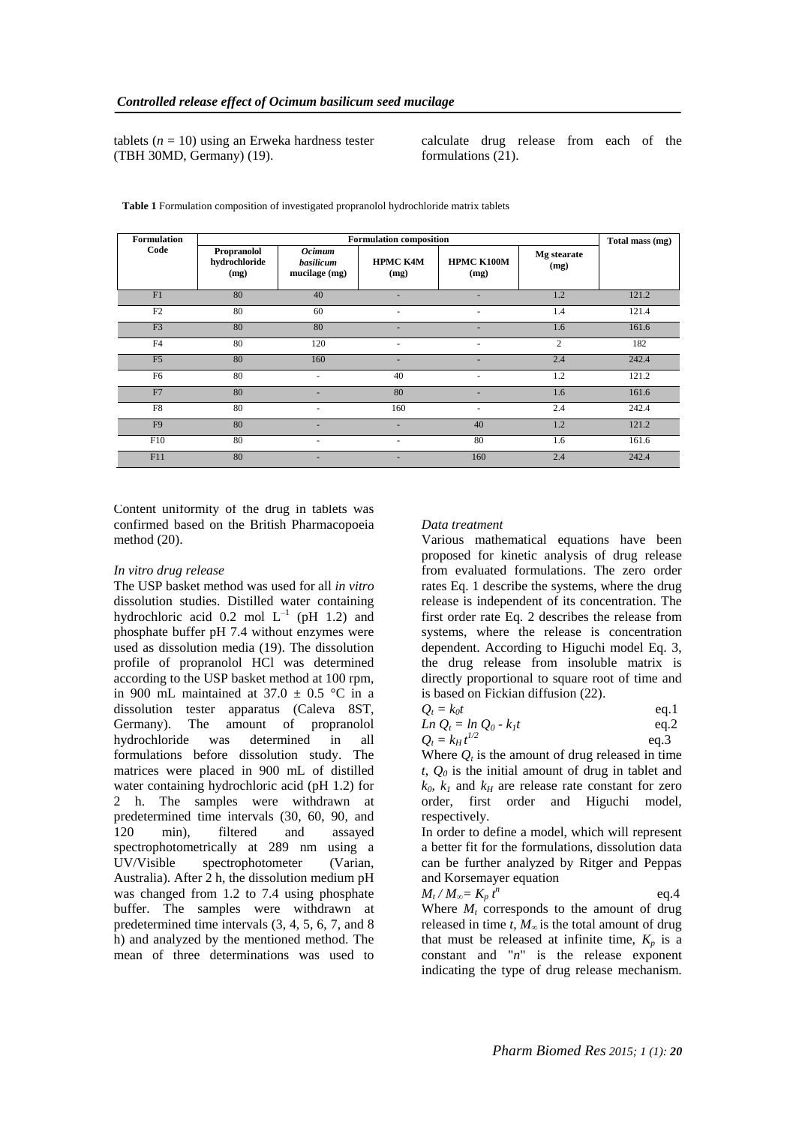tablets  $(n = 10)$  using an Erweka hardness tester (TBH 30MD, Germany) (19).

calculate drug release from each of the formulations (21).

| <b>Formulation</b> |                                      | Total mass (mg)                             |                          |                           |                     |       |
|--------------------|--------------------------------------|---------------------------------------------|--------------------------|---------------------------|---------------------|-------|
| Code               | Propranolol<br>hydrochloride<br>(mg) | <b>Ocimum</b><br>basilicum<br>mucilage (mg) | <b>HPMC K4M</b><br>(mg)  | <b>HPMC K100M</b><br>(mg) | Mg stearate<br>(mg) |       |
| F1                 | 80                                   | 40                                          | ٠                        | ٠                         | 1.2                 | 121.2 |
| F2                 | 80                                   | 60                                          |                          |                           | 1.4                 | 121.4 |
| F <sub>3</sub>     | 80                                   | 80                                          |                          |                           | 1.6                 | 161.6 |
| F <sub>4</sub>     | 80                                   | 120                                         |                          |                           | $\overline{2}$      | 182   |
| F <sub>5</sub>     | 80                                   | 160                                         | $\overline{\phantom{a}}$ | ٠                         | 2.4                 | 242.4 |
| F <sub>6</sub>     | 80                                   | $\overline{\phantom{a}}$                    | 40                       |                           | 1.2                 | 121.2 |
| F7                 | 80                                   | ٠                                           | 80                       | ٠                         | 1.6                 | 161.6 |
| F8                 | 80                                   | ۰                                           | 160                      |                           | 2.4                 | 242.4 |
| F <sub>9</sub>     | 80                                   | ٠                                           | $\overline{\phantom{a}}$ | 40                        | 1.2                 | 121.2 |
| F10                | 80                                   | ٠                                           | ٠                        | 80                        | 1.6                 | 161.6 |
| F11                | 80                                   | ٠                                           |                          | 160                       | 2.4                 | 242.4 |

**Table 1** Formulation composition of investigated propranolol hydrochloride matrix tablets

Content uniformity of the drug in tablets was confirmed based on the British Pharmacopoeia method (20).

#### *In vitro drug release*

The USP basket method was used for all *in vitro*  dissolution studies. Distilled water containing hydrochloric acid 0.2 mol  $L^{-1}$  (pH 1.2) and phosphate buffer pH 7.4 without enzymes were used as dissolution media (19). The dissolution profile of propranolol HCl was determined according to the USP basket method at 100 rpm, in 900 mL maintained at  $37.0 \pm 0.5$  °C in a dissolution tester apparatus (Caleva 8ST, Germany). The amount of propranolol hydrochloride was determined in all formulations before dissolution study. The matrices were placed in 900 mL of distilled water containing hydrochloric acid (pH 1.2) for 2 h. The samples were withdrawn at predetermined time intervals (30, 60, 90, and 120 min), filtered and assayed spectrophotometrically at 289 nm using a UV/Visible spectrophotometer (Varian, Australia). After 2 h, the dissolution medium pH was changed from 1.2 to 7.4 using phosphate buffer. The samples were withdrawn at predetermined time intervals (3, 4, 5, 6, 7, and 8 h) and analyzed by the mentioned method. The mean of three determinations was used to

#### *Data treatment*

Various mathematical equations have been proposed for kinetic analysis of drug release from evaluated formulations. The zero order rates Eq. 1 describe the systems, where the drug release is independent of its concentration. The first order rate Eq. 2 describes the release from systems, where the release is concentration dependent. According to Higuchi model Eq. 3, the drug release from insoluble matrix is directly proportional to square root of time and is based on Fickian diffusion (22).

|        | $Q_t = k_0 t$ |  | eq.1 |
|--------|---------------|--|------|
| $\sim$ |               |  |      |

| $Ln Q_t = ln Q_0 - k_I t$ | eq.2 |
|---------------------------|------|
| $Q_t = k_H t^{1/2}$       | eq.3 |

Where  $Q_t$  is the amount of drug released in time *t*, *Q<sup>0</sup>* is the initial amount of drug in tablet and  $k_0$ ,  $k_1$  and  $k_H$  are release rate constant for zero order, first order and Higuchi model, respectively.

In order to define a model, which will represent a better fit for the formulations, dissolution data can be further analyzed by Ritger and Peppas and Korsemayer equation

$$
M_t/M_\infty = K_p t^n \qquad \qquad \text{eq.4}
$$

Where  $M_t$  corresponds to the amount of drug released in time *t*, *M<sup>∞</sup>* is the total amount of drug that must be released at infinite time,  $K_p$  is a constant and "*n*" is the release exponent indicating the type of drug release mechanism.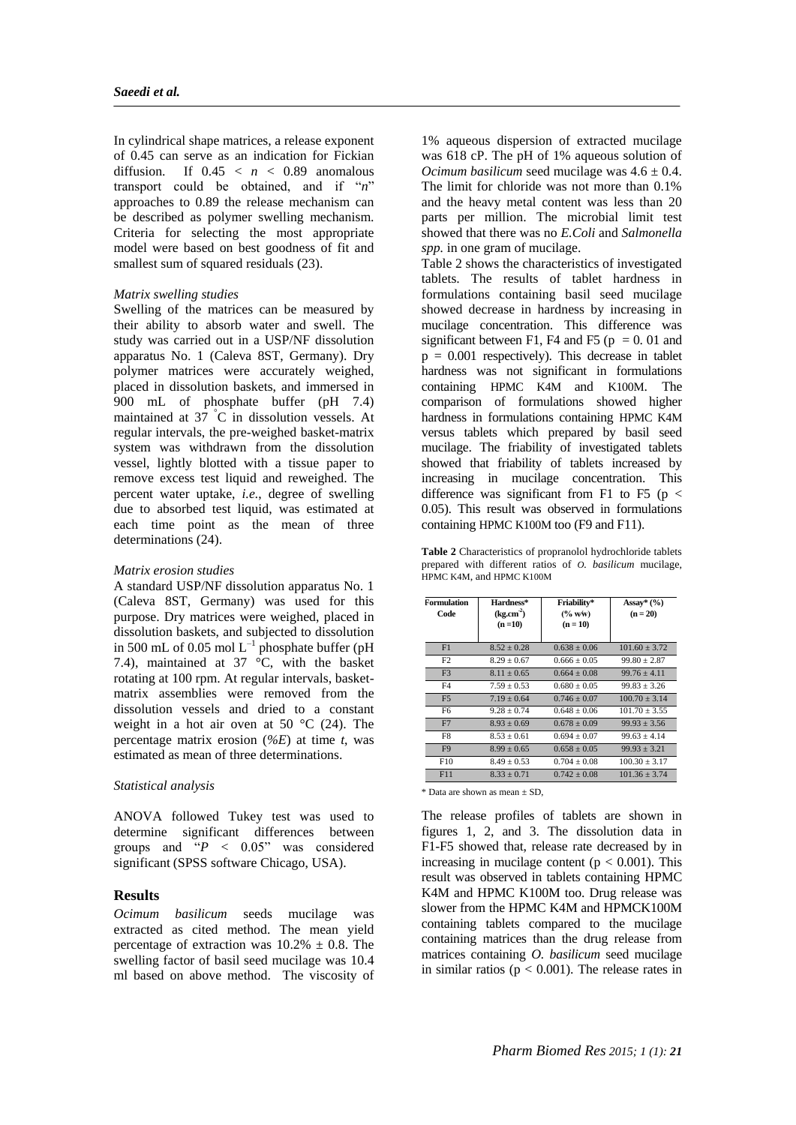In cylindrical shape matrices, a release exponent of 0.45 can serve as an indication for Fickian diffusion. If  $0.45 < n < 0.89$  anomalous transport could be obtained, and if "*n*" approaches to 0.89 the release mechanism can be described as polymer swelling mechanism. Criteria for selecting the most appropriate model were based on best goodness of fit and smallest sum of squared residuals (23).

# *Matrix swelling studies*

Swelling of the matrices can be measured by their ability to absorb water and swell. The study was carried out in a USP/NF dissolution apparatus No. 1 (Caleva 8ST, Germany). Dry polymer matrices were accurately weighed, placed in dissolution baskets, and immersed in 900 mL of phosphate buffer (pH 7.4) maintained at  $37\degree$ C in dissolution vessels. At regular intervals, the pre-weighed basket-matrix system was withdrawn from the dissolution vessel, lightly blotted with a tissue paper to remove excess test liquid and reweighed. The percent water uptake, *i.e.*, degree of swelling due to absorbed test liquid, was estimated at each time point as the mean of three determinations (24).

### *Matrix erosion studies*

A standard USP/NF dissolution apparatus No. 1 (Caleva 8ST, Germany) was used for this purpose. Dry matrices were weighed, placed in dissolution baskets, and subjected to dissolution in 500 mL of 0.05 mol  $L^{-1}$  phosphate buffer (pH 7.4), maintained at  $37 \text{ °C}$ , with the basket rotating at 100 rpm. At regular intervals, basketmatrix assemblies were removed from the dissolution vessels and dried to a constant weight in a hot air oven at 50  $\degree$ C (24). The percentage matrix erosion (*%E*) at time *t*, was estimated as mean of three determinations.

### *Statistical analysis*

ANOVA followed Tukey test was used to determine significant differences between groups and  $P' = 0.05$ " was considered significant (SPSS software Chicago, USA).

### **Results**

*Ocimum basilicum* seeds mucilage was extracted as cited method. The mean yield percentage of extraction was  $10.2\% \pm 0.8$ . The swelling factor of basil seed mucilage was 10.4 ml based on above method. The viscosity of

1% aqueous dispersion of extracted mucilage was 618 cP. The pH of 1% aqueous solution of *Ocimum basilicum* seed mucilage was  $4.6 \pm 0.4$ . The limit for chloride was not more than 0.1% and the heavy metal content was less than 20 parts per million. The microbial limit test showed that there was no *E.Coli* and *Salmonella spp.* in one gram of mucilage.

Table 2 shows the characteristics of investigated tablets. The results of tablet hardness in formulations containing basil seed mucilage showed decrease in hardness by increasing in mucilage concentration. This difference was significant between F1, F4 and F5 ( $p = 0.01$  and  $p = 0.001$  respectively). This decrease in tablet hardness was not significant in formulations containing HPMC K4M and K100M. The comparison of formulations showed higher hardness in formulations containing HPMC K4M versus tablets which prepared by basil seed mucilage. The friability of investigated tablets showed that friability of tablets increased by increasing in mucilage concentration. This difference was significant from F1 to F5 ( $p <$ 0.05). This result was observed in formulations containing HPMC K100M too (F9 and F11).

**Table 2** Characteristics of propranolol hydrochloride tablets prepared with different ratios of *O. basilicum* mucilage, HPMC K4M, and HPMC K100M

| <b>Formulation</b><br>Code | Hardness*<br>(kg.cm <sup>2</sup> )<br>$(n=10)$ | Friability*<br>$(*\mathbf{w} \mathbf{w})$<br>$(n = 10)$ | Assay* $(\%$<br>$(n = 20)$ |
|----------------------------|------------------------------------------------|---------------------------------------------------------|----------------------------|
| F1                         | $8.52 + 0.28$                                  | $0.638 + 0.06$                                          | $101.60 + 3.72$            |
| F2                         | $8.29 + 0.67$                                  | $0.666 + 0.05$                                          | $99.80 + 2.87$             |
| F <sub>3</sub>             | $8.11 + 0.65$                                  | $0.664 + 0.08$                                          | $99.76 + 4.11$             |
| F <sub>4</sub>             | $7.59 + 0.53$                                  | $0.680 + 0.05$                                          | $99.83 + 3.26$             |
| F <sub>5</sub>             | $7.19 + 0.64$                                  | $0.746 + 0.07$                                          | $100.70 + 3.14$            |
| F <sub>6</sub>             | $9.28 + 0.74$                                  | $0.648 + 0.06$                                          | $101.70 + 3.55$            |
| F7                         | $8.93 + 0.69$                                  | $0.678 + 0.09$                                          | $99.93 + 3.56$             |
| F8                         | $8.53 + 0.61$                                  | $0.694 + 0.07$                                          | $99.63 + 4.14$             |
| F <sub>9</sub>             | $8.99 + 0.65$                                  | $0.658 + 0.05$                                          | $99.93 + 3.21$             |
| F10                        | $8.49 + 0.53$                                  | $0.704 + 0.08$                                          | $100.30 + 3.17$            |
| F11                        | $8.33 + 0.71$                                  | $0.742 + 0.08$                                          | $101.36 + 3.74$            |

\* Data are shown as mean ± SD,

The release profiles of tablets are shown in figures 1, 2, and 3. The dissolution data in F1-F5 showed that, release rate decreased by in increasing in mucilage content ( $p < 0.001$ ). This result was observed in tablets containing HPMC K4M and HPMC K100M too. Drug release was slower from the HPMC K4M and HPMCK100M containing tablets compared to the mucilage containing matrices than the drug release from matrices containing *O. basilicum* seed mucilage in similar ratios ( $p < 0.001$ ). The release rates in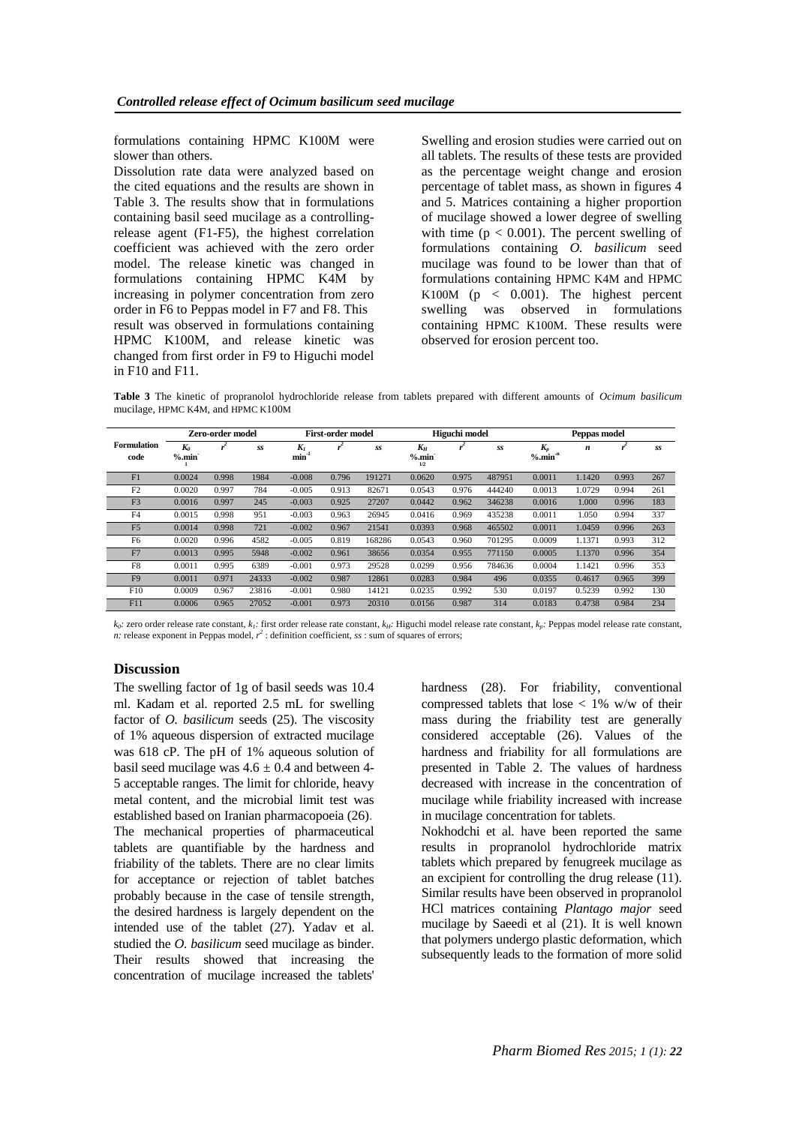formulations containing HPMC K100M were slower than others.

Dissolution rate data were analyzed based on the cited equations and the results are shown in Table 3. The results show that in formulations containing basil seed mucilage as a controllingrelease agent (F1-F5), the highest correlation coefficient was achieved with the zero order model. The release kinetic was changed in formulations containing HPMC K4M by increasing in polymer concentration from zero order in F6 to Peppas model in F7 and F8. This result was observed in formulations containing HPMC K100M, and release kinetic was changed from first order in F9 to Higuchi model in F10 and F11.

Swelling and erosion studies were carried out on all tablets. The results of these tests are provided as the percentage weight change and erosion percentage of tablet mass, as shown in figures 4 and 5. Matrices containing a higher proportion of mucilage showed a lower degree of swelling with time  $(p < 0.001)$ . The percent swelling of formulations containing *O. basilicum* seed mucilage was found to be lower than that of formulations containing HPMC K4M and HPMC K100M ( $p \leq 0.001$ ). The highest percent swelling was observed in formulations containing HPMC K100M. These results were observed for erosion percent too.

**Table 3** The kinetic of propranolol hydrochloride release from tablets prepared with different amounts of *Ocimum basilicum* mucilage, HPMC K4M, and HPMC K100M

|                            | <b>Zero-order model</b> |       |       | First-order model   |       | Higuchi model |                      |       | Peppas model |                                 |        |       |     |
|----------------------------|-------------------------|-------|-------|---------------------|-------|---------------|----------------------|-------|--------------|---------------------------------|--------|-------|-----|
| <b>Formulation</b><br>code | $K_0$<br>%min           |       | SS    | $K_I$<br>$min^{-1}$ |       | SS            | $K_H$<br>%min<br>1/2 |       | SS           | $K_p$<br>$%$ .min <sup>-n</sup> | n      |       | SS  |
| F1                         | 0.0024                  | 0.998 | 1984  | $-0.008$            | 0.796 | 191271        | 0.0620               | 0.975 | 487951       | 0.0011                          | 1.1420 | 0.993 | 267 |
| F2                         | 0.0020                  | 0.997 | 784   | $-0.005$            | 0.913 | 82671         | 0.0543               | 0.976 | 444240       | 0.0013                          | 1.0729 | 0.994 | 261 |
| F <sub>3</sub>             | 0.0016                  | 0.997 | 245   | $-0.003$            | 0.925 | 27207         | 0.0442               | 0.962 | 346238       | 0.0016                          | 1.000  | 0.996 | 183 |
| F <sub>4</sub>             | 0.0015                  | 0.998 | 951   | $-0.003$            | 0.963 | 26945         | 0.0416               | 0.969 | 435238       | 0.0011                          | 1.050  | 0.994 | 337 |
| F <sub>5</sub>             | 0.0014                  | 0.998 | 721   | $-0.002$            | 0.967 | 21541         | 0.0393               | 0.968 | 465502       | 0.0011                          | 1.0459 | 0.996 | 263 |
| F <sub>6</sub>             | 0.0020                  | 0.996 | 4582  | $-0.005$            | 0.819 | 168286        | 0.0543               | 0.960 | 701295       | 0.0009                          | 1.1371 | 0.993 | 312 |
| F7                         | 0.0013                  | 0.995 | 5948  | $-0.002$            | 0.961 | 38656         | 0.0354               | 0.955 | 771150       | 0.0005                          | 1.1370 | 0.996 | 354 |
| F8                         | 0.0011                  | 0.995 | 6389  | $-0.001$            | 0.973 | 29528         | 0.0299               | 0.956 | 784636       | 0.0004                          | 1.1421 | 0.996 | 353 |
| F <sub>9</sub>             | 0.0011                  | 0.971 | 24333 | $-0.002$            | 0.987 | 12861         | 0.0283               | 0.984 | 496          | 0.0355                          | 0.4617 | 0.965 | 399 |
| F10                        | 0.0009                  | 0.967 | 23816 | $-0.001$            | 0.980 | 14121         | 0.0235               | 0.992 | 530          | 0.0197                          | 0.5239 | 0.992 | 130 |
| F11                        | 0.0006                  | 0.965 | 27052 | $-0.001$            | 0.973 | 20310         | 0.0156               | 0.987 | 314          | 0.0183                          | 0.4738 | 0.984 | 234 |

 $k_0$ : zero order release rate constant,  $k_i$ : first order release rate constant,  $k_{ii}$ : Higuchi model release rate constant,  $k_p$ : Peppas model release rate constant,  $n$ : release rate constant,  $r^2$ : definition coeffi

# **Discussion**

The swelling factor of 1g of basil seeds was 10.4 ml. Kadam et al. reported 2.5 mL for swelling factor of *O. basilicum* seeds (25). The viscosity of 1% aqueous dispersion of extracted mucilage was 618 cP. The pH of 1% aqueous solution of basil seed mucilage was  $4.6 \pm 0.4$  and between 4-5 acceptable ranges. The limit for chloride, heavy metal content, and the microbial limit test was established based on Iranian pharmacopoeia (26). The mechanical properties of pharmaceutical tablets are quantifiable by the hardness and friability of the tablets. There are no clear limits for acceptance or rejection of tablet batches probably because in the case of tensile strength, the desired hardness is largely dependent on the intended use of the tablet (27). Yadav et al. studied the *O. basilicum* seed mucilage as binder. Their results showed that increasing the concentration of mucilage increased the tablets'

hardness (28). For friability, conventional compressed tablets that lose  $< 1\%$  w/w of their mass during the friability test are generally considered acceptable (26). Values of the hardness and friability for all formulations are presented in Table 2. The values of hardness decreased with increase in the concentration of mucilage while friability increased with increase in mucilage concentration for tablets.

Nokhodchi et al. have been reported the same results in propranolol hydrochloride matrix tablets which prepared by fenugreek mucilage as an excipient for controlling the drug release (11). Similar results have been observed in propranolol HCl matrices containing *Plantago major* seed mucilage by Saeedi et al (21). It is well known that polymers undergo plastic deformation, which subsequently leads to the formation of more solid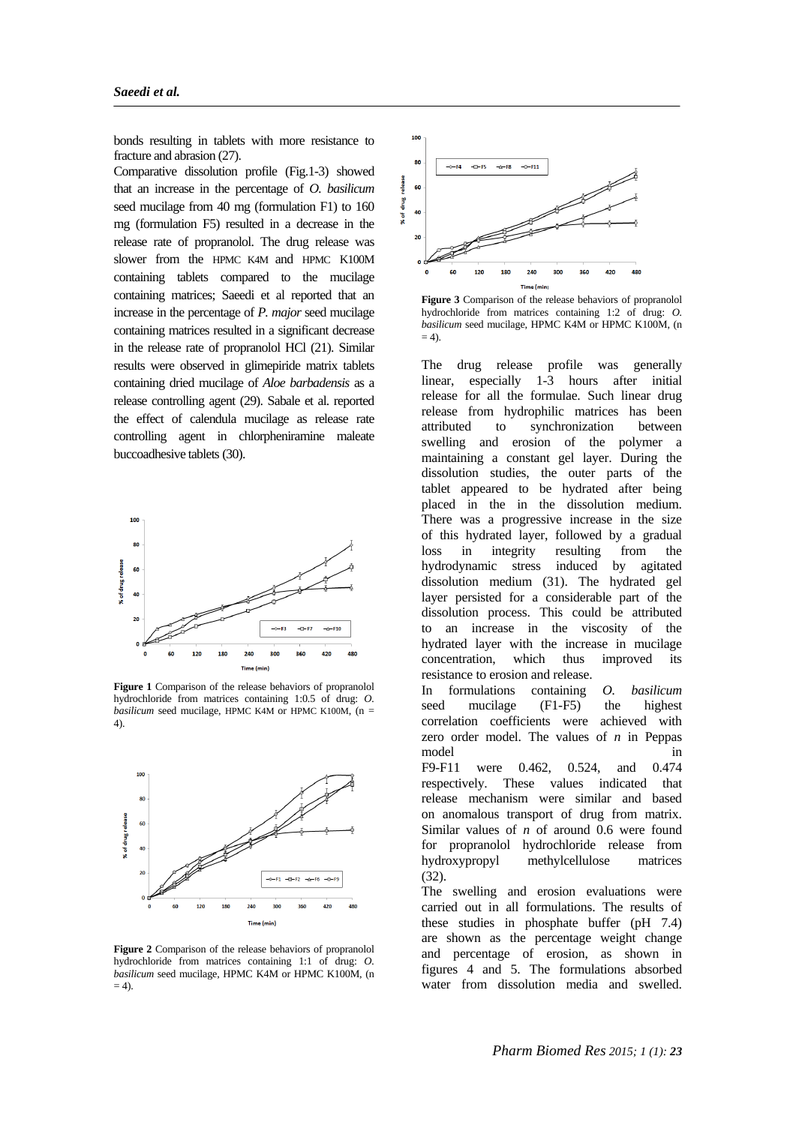bonds resulting in tablets with more resistance to fracture and abrasion (27).

Comparative dissolution profile (Fig.1-3) showed that an increase in the percentage of *O. basilicum* seed mucilage from 40 mg (formulation F1) to 160 mg (formulation F5) resulted in a decrease in the release rate of propranolol. The drug release was slower from the HPMC K4M and HPMC K100M containing tablets compared to the mucilage containing matrices; Saeedi et al reported that an increase in the percentage of *P. major* seed mucilage containing matrices resulted in a significant decrease in the release rate of propranolol HCl (21). Similar results were observed in glimepiride matrix tablets containing dried mucilage of *Aloe barbadensis* as a release controlling agent (29). Sabale et al. reported the effect of calendula mucilage as release rate controlling agent in chlorpheniramine maleate buccoadhesive tablets (30).



**Figure 1** Comparison of the release behaviors of propranolol hydrochloride from matrices containing 1:0.5 of drug: *O. basilicum* seed mucilage, HPMC K4M or HPMC K100M,  $(n =$ 4).



**Figure 2** Comparison of the release behaviors of propranolol hydrochloride from matrices containing 1:1 of drug: *O. basilicum* seed mucilage, HPMC K4M or HPMC K100M, (n  $= 4$ ).



**Figure 3** Comparison of the release behaviors of propranolol hydrochloride from matrices containing 1:2 of drug: *O. basilicum* seed mucilage, HPMC K4M or HPMC K100M, (n  $= 4$ ).

The drug release profile was generally linear, especially 1-3 hours after initial release for all the formulae. Such linear drug release from hydrophilic matrices has been attributed to synchronization between swelling and erosion of the polymer a maintaining a constant gel layer. During the dissolution studies, the outer parts of the tablet appeared to be hydrated after being placed in the in the dissolution medium. There was a progressive increase in the size of this hydrated layer, followed by a gradual loss in integrity resulting from the hydrodynamic stress induced by agitated dissolution medium (31). The hydrated gel layer persisted for a considerable part of the dissolution process. This could be attributed to an increase in the viscosity of the hydrated layer with the increase in mucilage concentration, which thus improved its resistance to erosion and release.

In formulations containing *O. basilicum* seed mucilage (F1-F5) the highest correlation coefficients were achieved with zero order model. The values of *n* in Peppas model in F9-F11 were 0.462, 0.524, and 0.474 respectively. These values indicated that

release mechanism were similar and based on anomalous transport of drug from matrix. Similar values of *n* of around 0.6 were found for propranolol hydrochloride release from hydroxypropyl methylcellulose matrices (32).

The swelling and erosion evaluations were carried out in all formulations. The results of these studies in phosphate buffer (pH 7.4) are shown as the percentage weight change and percentage of erosion, as shown in figures 4 and 5. The formulations absorbed water from dissolution media and swelled.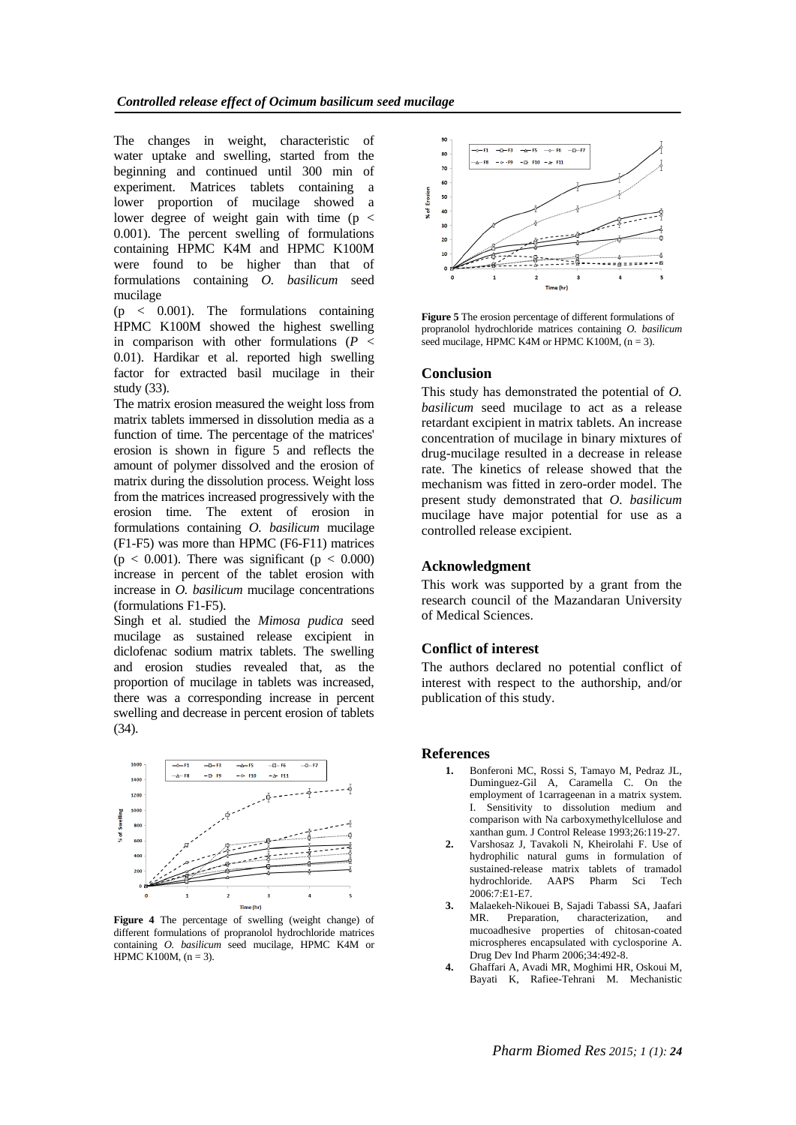The changes in weight, characteristic of water uptake and swelling, started from the beginning and continued until 300 min of experiment. Matrices tablets containing a lower proportion of mucilage showed a lower degree of weight gain with time  $(p \lt p)$ 0.001). The percent swelling of formulations containing HPMC K4M and HPMC K100M were found to be higher than that of formulations containing *O. basilicum* seed mucilage

 $(p \lt 0.001)$ . The formulations containing HPMC K100M showed the highest swelling in comparison with other formulations  $(P \leq$ 0.01). Hardikar et al. reported high swelling factor for extracted basil mucilage in their study (33).

The matrix erosion measured the weight loss from matrix tablets immersed in dissolution media as a function of time. The percentage of the matrices' erosion is shown in figure  $\overline{5}$  and reflects the amount of polymer dissolved and the erosion of matrix during the dissolution process. Weight loss from the matrices increased progressively with the erosion time. The extent of erosion in formulations containing *O. basilicum* mucilage (F1-F5) was more than HPMC (F6-F11) matrices  $(p < 0.001)$ . There was significant  $(p < 0.000)$ increase in percent of the tablet erosion with increase in *O. basilicum* mucilage concentrations (formulations F1-F5).

Singh et al. studied the *Mimosa pudica* seed mucilage as sustained release excipient in diclofenac sodium matrix tablets. The swelling and erosion studies revealed that, as the proportion of mucilage in tablets was increased, there was a corresponding increase in percent swelling and decrease in percent erosion of tablets (34).



**Figure 4** The percentage of swelling (weight change) of different formulations of propranolol hydrochloride matrices containing *O. basilicum* seed mucilage, HPMC K4M or HPMC K100M,  $(n = 3)$ .



**Figure 5** The erosion percentage of different formulations of propranolol hydrochloride matrices containing *O. basilicum* seed mucilage, HPMC K4M or HPMC K100M,  $(n = 3)$ .

### **Conclusion**

This study has demonstrated the potential of *O. basilicum* seed mucilage to act as a release retardant excipient in matrix tablets. An increase concentration of mucilage in binary mixtures of drug-mucilage resulted in a decrease in release rate. The kinetics of release showed that the mechanism was fitted in zero-order model. The present study demonstrated that *O. basilicum*  mucilage have major potential for use as a controlled release excipient.

### **Acknowledgment**

This work was supported by a grant from the research council of the Mazandaran University of Medical Sciences.

# **Conflict of interest**

The authors declared no potential conflict of interest with respect to the authorship, and/or publication of this study.

### **References**

- **1.** Bonferoni MC, Rossi S, Tamayo M, Pedraz JL, Duminguez-Gil A, Caramella C. On the employment of 1carrageenan in a matrix system. I. Sensitivity to dissolution medium and comparison with Na carboxymethylcellulose and xanthan gum. J Control Release 1993;26:119-27.
- **2.** Varshosaz J, Tavakoli N, Kheirolahi F. Use of hydrophilic natural gums in formulation of sustained-release matrix tablets of tramadol hydrochloride. AAPS Pharm Sci Tech 2006:7:E1-E7.
- **3.** [Malaekeh-Nikouei B,](http://www.scopus.com/search/submit/author.url?author=Malaekeh-Nikouei%2c+B.&origin=resultslist&authorId=14831694400&src=s) [Sajadi Tabassi SA,](http://www.scopus.com/search/submit/author.url?author=Sajadi+Tabassi%2c+S.A.&origin=resultslist&authorId=14831598900&src=s) [Jaafari](http://www.scopus.com/search/submit/author.url?author=Jaafari%2c+M.R.&origin=resultslist&authorId=14831301000&src=s)  [MR.](http://www.scopus.com/search/submit/author.url?author=Jaafari%2c+M.R.&origin=resultslist&authorId=14831301000&src=s) Preparation, characterization, and mucoadhesive properties of chitosan-coated microspheres encapsulated with cyclosporine A. Drug Dev Ind Pharm 2006;34:492-8.
- **4.** [Ghaffari A,](http://www.scopus.com/search/submit/author.url?author=Ghaffari%2c+A.&origin=resultslist&authorId=14625089800&src=s) [Avadi MR,](http://www.scopus.com/search/submit/author.url?author=Avadi%2c+M.R.&origin=resultslist&authorId=6507345028&src=s) [Moghimi HR,](http://www.scopus.com/search/submit/author.url?author=Moghimi%2c+H.R.&origin=resultslist&authorId=6603160754&src=s) [Oskoui M,](http://www.scopus.com/search/submit/author.url?author=Oskoui%2c+M.&origin=resultslist&authorId=14625633900&src=s) [Bayati K,](http://www.scopus.com/search/submit/author.url?author=Bayati%2c+K.&origin=resultslist&authorId=14625005500&src=s) [Rafiee-Tehrani M.](http://www.scopus.com/search/submit/author.url?author=Rafiee-Tehrani%2c+M.&origin=resultslist&authorId=7003540760&src=s) Mechanistic